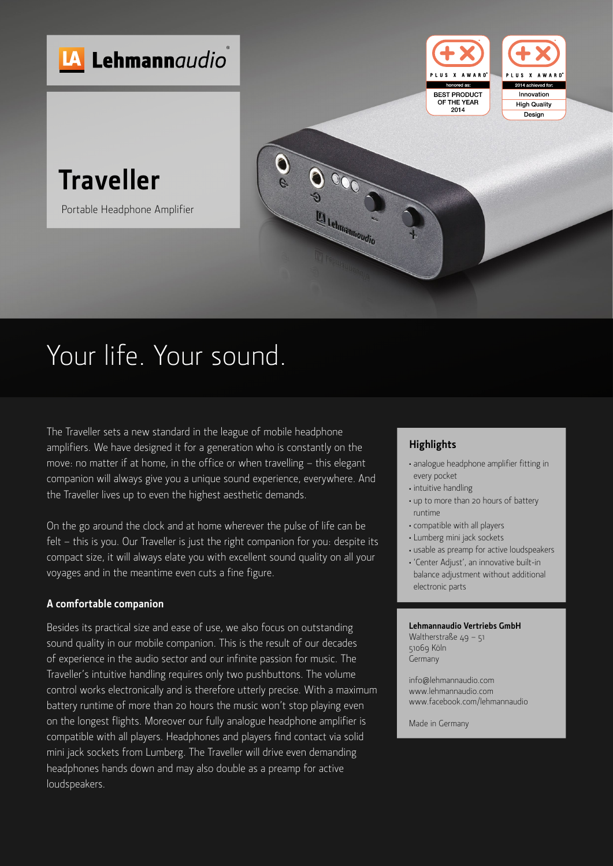

# Your life. Your sound.

The Traveller sets a new standard in the league of mobile headphone amplifiers. We have designed it for a generation who is constantly on the move: no matter if at home, in the office or when travelling – this elegant companion will always give you a unique sound experience, everywhere. And the Traveller lives up to even the highest aesthetic demands.

On the go around the clock and at home wherever the pulse of life can be felt – this is you. Our Traveller is just the right companion for you: despite its compact size, it will always elate you with excellent sound quality on all your voyages and in the meantime even cuts a fine figure.

#### **A comfortable companion**

Besides its practical size and ease of use, we also focus on outstanding sound quality in our mobile companion. This is the result of our decades of experience in the audio sector and our infinite passion for music. The Traveller's intuitive handling requires only two pushbuttons. The volume control works electronically and is therefore utterly precise. With a maximum battery runtime of more than 20 hours the music won't stop playing even on the longest flights. Moreover our fully analogue headphone amplifier is compatible with all players. Headphones and players find contact via solid mini jack sockets from Lumberg. The Traveller will drive even demanding headphones hands down and may also double as a preamp for active loudspeakers.

### **Highlights**

- <sup>≠</sup> analogue headphone amplifier fitting in every pocket
- <sup>≠</sup> intuitive handling
- <sup>≠</sup> up to more than 20 hours of battery runtime
- <sup>≠</sup> compatible with all players
- <sup>≠</sup> Lumberg mini jack sockets
- <sup>≠</sup> usable as preamp for active loudspeakers
- <sup>≠</sup> 'Center Adjust', an innovative built-in balance adjustment without additional electronic parts

#### **Lehmannaudio Vertriebs GmbH**

Waltherstraße 49 – 51 51069 Köln Germany

info@lehmannaudio.com www.lehmannaudio.com www.facebook.com/lehmannaudio

Made in Germany